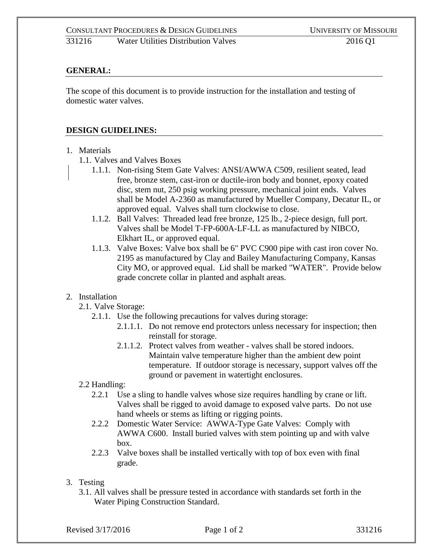### **GENERAL:**

The scope of this document is to provide instruction for the installation and testing of domestic water valves.

#### **DESIGN GUIDELINES:**

- 1. Materials
	- 1.1. Valves and Valves Boxes
		- 1.1.1. Non-rising Stem Gate Valves: ANSI/AWWA C509, resilient seated, lead free, bronze stem, cast-iron or ductile-iron body and bonnet, epoxy coated disc, stem nut, 250 psig working pressure, mechanical joint ends. Valves shall be Model A-2360 as manufactured by Mueller Company, Decatur IL, or approved equal. Valves shall turn clockwise to close.
		- 1.1.2. Ball Valves: Threaded lead free bronze, 125 lb., 2-piece design, full port. Valves shall be Model T-FP-600A-LF-LL as manufactured by NIBCO, Elkhart IL, or approved equal.
		- 1.1.3. Valve Boxes: Valve box shall be 6" PVC C900 pipe with cast iron cover No. 2195 as manufactured by Clay and Bailey Manufacturing Company, Kansas City MO, or approved equal. Lid shall be marked "WATER". Provide below grade concrete collar in planted and asphalt areas.

#### 2. Installation

- 2.1. Valve Storage:
	- 2.1.1. Use the following precautions for valves during storage:
		- 2.1.1.1. Do not remove end protectors unless necessary for inspection; then reinstall for storage.
		- 2.1.1.2. Protect valves from weather valves shall be stored indoors. Maintain valve temperature higher than the ambient dew point temperature. If outdoor storage is necessary, support valves off the ground or pavement in watertight enclosures.
- 2.2 Handling:
	- 2.2.1 Use a sling to handle valves whose size requires handling by crane or lift. Valves shall be rigged to avoid damage to exposed valve parts. Do not use hand wheels or stems as lifting or rigging points.
	- 2.2.2 Domestic Water Service: AWWA-Type Gate Valves: Comply with AWWA C600. Install buried valves with stem pointing up and with valve box.
	- 2.2.3 Valve boxes shall be installed vertically with top of box even with final grade.
- 3. Testing
	- 3.1. All valves shall be pressure tested in accordance with standards set forth in the Water Piping Construction Standard.